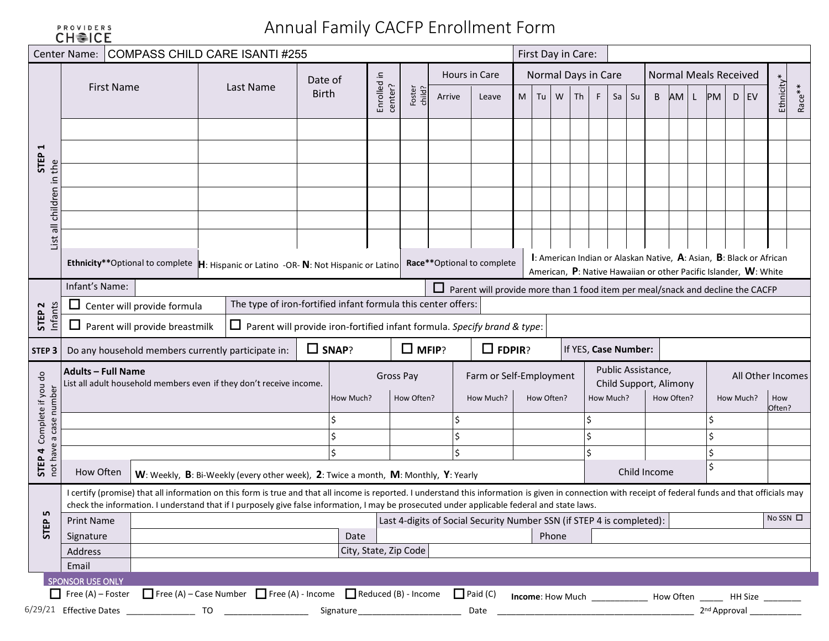| <b>PROVIDERS</b>    |  |  |  |  |
|---------------------|--|--|--|--|
| CH <sup></sup> ≥ICE |  |  |  |  |

# Annual Family CACFP Enrollment Form

|                                                     | Center Name:                                        | COMPASS CHILD CARE ISANTI #255                                                                                                                                                                           |                                                                                     |              |              |                        |                  |        |                                                                                       |                  |            |       | First Day in Care:  |    |                      |                                              |            |    |           |                                                                                                                                         |               |        |
|-----------------------------------------------------|-----------------------------------------------------|----------------------------------------------------------------------------------------------------------------------------------------------------------------------------------------------------------|-------------------------------------------------------------------------------------|--------------|--------------|------------------------|------------------|--------|---------------------------------------------------------------------------------------|------------------|------------|-------|---------------------|----|----------------------|----------------------------------------------|------------|----|-----------|-----------------------------------------------------------------------------------------------------------------------------------------|---------------|--------|
|                                                     |                                                     |                                                                                                                                                                                                          |                                                                                     | Date of      |              |                        |                  |        | Hours in Care                                                                         |                  |            |       | Normal Days in Care |    |                      | <b>Normal Meals Received</b>                 |            |    |           |                                                                                                                                         |               |        |
|                                                     |                                                     | <b>First Name</b>                                                                                                                                                                                        | Last Name                                                                           | <b>Birth</b> |              | Enrolled in<br>center? | Foster<br>child? | Arrive | Leave                                                                                 | M                | Tu         | W     | Th                  | F. | $Sa$   Su            | B                                            | AM L       | PM |           | $D$ EV                                                                                                                                  | Ethnicity*    | Race** |
|                                                     |                                                     |                                                                                                                                                                                                          |                                                                                     |              |              |                        |                  |        |                                                                                       |                  |            |       |                     |    |                      |                                              |            |    |           |                                                                                                                                         |               |        |
| H                                                   |                                                     |                                                                                                                                                                                                          |                                                                                     |              |              |                        |                  |        |                                                                                       |                  |            |       |                     |    |                      |                                              |            |    |           |                                                                                                                                         |               |        |
| <b>STEP</b><br>the                                  |                                                     |                                                                                                                                                                                                          |                                                                                     |              |              |                        |                  |        |                                                                                       |                  |            |       |                     |    |                      |                                              |            |    |           |                                                                                                                                         |               |        |
| 그.                                                  |                                                     |                                                                                                                                                                                                          |                                                                                     |              |              |                        |                  |        |                                                                                       |                  |            |       |                     |    |                      |                                              |            |    |           |                                                                                                                                         |               |        |
| children                                            |                                                     |                                                                                                                                                                                                          |                                                                                     |              |              |                        |                  |        |                                                                                       |                  |            |       |                     |    |                      |                                              |            |    |           |                                                                                                                                         |               |        |
|                                                     |                                                     |                                                                                                                                                                                                          |                                                                                     |              |              |                        |                  |        |                                                                                       |                  |            |       |                     |    |                      |                                              |            |    |           |                                                                                                                                         |               |        |
| $\overline{a}$<br>List                              |                                                     |                                                                                                                                                                                                          |                                                                                     |              |              |                        |                  |        |                                                                                       |                  |            |       |                     |    |                      |                                              |            |    |           |                                                                                                                                         |               |        |
|                                                     |                                                     | Ethnicity**Optional to complete  H: Hispanic or Latino -OR- N: Not Hispanic or Latino                                                                                                                    |                                                                                     |              |              |                        |                  |        | Race**Optional to complete                                                            |                  |            |       |                     |    |                      |                                              |            |    |           | I: American Indian or Alaskan Native, A: Asian, B: Black or African<br>American, P: Native Hawaiian or other Pacific Islander, W: White |               |        |
|                                                     | Infant's Name:                                      |                                                                                                                                                                                                          |                                                                                     |              |              |                        |                  |        | $\Box$ Parent will provide more than 1 food item per meal/snack and decline the CACFP |                  |            |       |                     |    |                      |                                              |            |    |           |                                                                                                                                         |               |        |
|                                                     |                                                     | Center will provide formula                                                                                                                                                                              | The type of iron-fortified infant formula this center offers:                       |              |              |                        |                  |        |                                                                                       |                  |            |       |                     |    |                      |                                              |            |    |           |                                                                                                                                         |               |        |
| STEP <sub>2</sub><br>Infant                         |                                                     | $\Box$ Parent will provide breastmilk                                                                                                                                                                    | $\Box$ Parent will provide iron-fortified infant formula. Specify brand & type:     |              |              |                        |                  |        |                                                                                       |                  |            |       |                     |    |                      |                                              |            |    |           |                                                                                                                                         |               |        |
|                                                     |                                                     |                                                                                                                                                                                                          |                                                                                     |              |              |                        |                  |        |                                                                                       |                  |            |       |                     |    |                      |                                              |            |    |           |                                                                                                                                         |               |        |
| STEP <sub>3</sub>                                   |                                                     | Do any household members currently participate in:                                                                                                                                                       |                                                                                     |              | $\Box$ SNAP? |                        | $\Box$ MFIP?     |        | $\Box$ FDPIR?                                                                         |                  |            |       |                     |    | If YES, Case Number: |                                              |            |    |           |                                                                                                                                         |               |        |
|                                                     |                                                     |                                                                                                                                                                                                          |                                                                                     |              |              |                        |                  |        |                                                                                       |                  |            |       |                     |    |                      |                                              |            |    |           |                                                                                                                                         |               |        |
|                                                     | <b>Adults - Full Name</b>                           | List all adult household members even if they don't receive income.                                                                                                                                      |                                                                                     |              |              | Gross Pay              |                  |        | Farm or Self-Employment                                                               |                  |            |       |                     |    |                      | Public Assistance,<br>Child Support, Alimony |            |    |           | All Other Incomes                                                                                                                       |               |        |
|                                                     |                                                     |                                                                                                                                                                                                          |                                                                                     |              | How Much?    |                        | How Often?       |        | How Much?                                                                             |                  | How Often? |       |                     |    | How Much?            |                                              | How Often? |    | How Much? |                                                                                                                                         | How<br>Often? |        |
|                                                     |                                                     |                                                                                                                                                                                                          |                                                                                     |              |              |                        |                  |        |                                                                                       |                  |            |       |                     |    |                      |                                              |            |    |           |                                                                                                                                         |               |        |
|                                                     |                                                     |                                                                                                                                                                                                          |                                                                                     |              |              |                        |                  | Ś      |                                                                                       |                  |            |       |                     |    |                      |                                              |            |    |           |                                                                                                                                         |               |        |
|                                                     |                                                     |                                                                                                                                                                                                          |                                                                                     |              |              |                        |                  | Ś      |                                                                                       |                  |            |       |                     |    |                      |                                              |            |    |           |                                                                                                                                         |               |        |
| STEP 4 Complete if you do<br>not have a case number | How Often                                           |                                                                                                                                                                                                          | W: Weekly, B: Bi-Weekly (every other week), 2: Twice a month, M: Monthly, Y: Yearly |              |              |                        |                  |        |                                                                                       |                  |            |       |                     |    |                      | Child Income                                 |            |    |           |                                                                                                                                         |               |        |
|                                                     |                                                     | I certify (promise) that all information on this form is true and that all income is reported. I understand this information is given in connection with receipt of federal funds and that officials may |                                                                                     |              |              |                        |                  |        |                                                                                       |                  |            |       |                     |    |                      |                                              |            |    |           |                                                                                                                                         |               |        |
|                                                     |                                                     | check the information. I understand that if I purposely give false information, I may be prosecuted under applicable federal and state laws.                                                             |                                                                                     |              |              |                        |                  |        |                                                                                       |                  |            |       |                     |    |                      |                                              |            |    |           |                                                                                                                                         |               |        |
| <u>ın</u>                                           | <b>Print Name</b>                                   |                                                                                                                                                                                                          |                                                                                     |              |              |                        |                  |        | Last 4-digits of Social Security Number SSN (if STEP 4 is completed):                 |                  |            |       |                     |    |                      |                                              |            |    |           |                                                                                                                                         | No SSN O      |        |
| <b>STEP</b>                                         | Signature                                           |                                                                                                                                                                                                          |                                                                                     |              | Date         |                        |                  |        |                                                                                       |                  |            | Phone |                     |    |                      |                                              |            |    |           |                                                                                                                                         |               |        |
|                                                     | Address                                             |                                                                                                                                                                                                          |                                                                                     |              |              | City, State, Zip Code  |                  |        |                                                                                       |                  |            |       |                     |    |                      |                                              |            |    |           |                                                                                                                                         |               |        |
|                                                     | Email                                               |                                                                                                                                                                                                          |                                                                                     |              |              |                        |                  |        |                                                                                       |                  |            |       |                     |    |                      |                                              |            |    |           |                                                                                                                                         |               |        |
|                                                     | <b>SPONSOR USE ONLY</b><br>$\Box$ Free (A) – Foster |                                                                                                                                                                                                          | Free (A) - Case Number   Free (A) - Income   Reduced (B) - Income                   |              |              |                        |                  |        | $\Box$ Paid (C)                                                                       | Income: How Much |            |       |                     |    |                      |                                              |            |    |           | How Often _______ HH Size _______                                                                                                       |               |        |